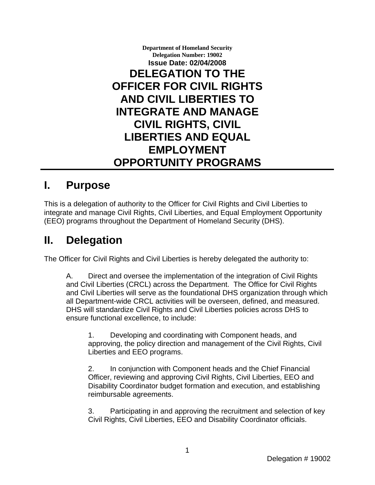**Department of Homeland Security Delegation Number: 19002 Issue Date: 02/04/2008 DELEGATION TO THE OFFICER FOR CIVIL RIGHTS AND CIVIL LIBERTIES TO INTEGRATE AND MANAGE CIVIL RIGHTS, CIVIL LIBERTIES AND EQUAL EMPLOYMENT OPPORTUNITY PROGRAMS** 

## **I. Purpose**

This is a delegation of authority to the Officer for Civil Rights and Civil Liberties to integrate and manage Civil Rights, Civil Liberties, and Equal Employment Opportunity (EEO) programs throughout the Department of Homeland Security (DHS).

## **II. Delegation**

The Officer for Civil Rights and Civil Liberties is hereby delegated the authority to:

A. Direct and oversee the implementation of the integration of Civil Rights and Civil Liberties (CRCL) across the Department. The Office for Civil Rights and Civil Liberties will serve as the foundational DHS organization through which all Department-wide CRCL activities will be overseen, defined, and measured. DHS will standardize Civil Rights and Civil Liberties policies across DHS to ensure functional excellence, to include:

1. Developing and coordinating with Component heads, and approving, the policy direction and management of the Civil Rights, Civil Liberties and EEO programs.

2. In conjunction with Component heads and the Chief Financial Officer, reviewing and approving Civil Rights, Civil Liberties, EEO and Disability Coordinator budget formation and execution, and establishing reimbursable agreements.

3. Participating in and approving the recruitment and selection of key Civil Rights, Civil Liberties, EEO and Disability Coordinator officials.